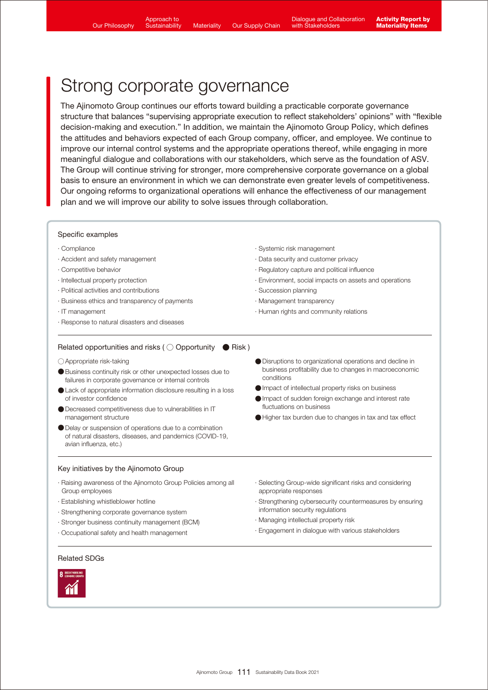Approach to **Sustainability** 

# Strong corporate governance

The Ajinomoto Group continues our efforts toward building a practicable corporate governance structure that balances "supervising appropriate execution to reflect stakeholders' opinions" with "flexible decision-making and execution." In addition, we maintain the Ajinomoto Group Policy, which defines the attitudes and behaviors expected of each Group company, officer, and employee. We continue to improve our internal control systems and the appropriate operations thereof, while engaging in more meaningful dialogue and collaborations with our stakeholders, which serve as the foundation of ASV. The Group will continue striving for stronger, more comprehensive corporate governance on a global basis to ensure an environment in which we can demonstrate even greater levels of competitiveness. Our ongoing reforms to organizational operations will enhance the effectiveness of our management plan and we will improve our ability to solve issues through collaboration.

### Specific examples

- ∙ Compliance
- ∙ Accident and safety management
- ∙ Competitive behavior
- ∙ Intellectual property protection
- ∙ Political activities and contributions
- ∙ Business ethics and transparency of payments
- ∙ IT management
- ∙ Response to natural disasters and diseases
- ∙ Systemic risk management
- ∙ Data security and customer privacy
- ∙ Regulatory capture and political influence
- ∙ Environment, social impacts on assets and operations
- ∙ Succession planning
- ∙ Management transparency
- ∙ Human rights and community relations

#### Related opportunities and risks ( $\bigcirc$  Opportunity  $\bigcirc$  Risk)

- ○Appropriate risk-taking
- ●Business continuity risk or other unexpected losses due to failures in corporate governance or internal controls
- Lack of appropriate information disclosure resulting in a loss of investor confidence
- Decreased competitiveness due to vulnerabilities in IT management structure
- ●Delay or suspension of operations due to a combination of natural disasters, diseases, and pandemics (COVID-19, avian influenza, etc.)

### Key initiatives by the Ajinomoto Group

- ∙ Raising awareness of the Ajinomoto Group Policies among all Group employees
- ∙ Establishing whistleblower hotline
- ∙ Strengthening corporate governance system
- ∙ Stronger business continuity management (BCM)
- ∙ Occupational safety and health management
- ●Disruptions to organizational operations and decline in business profitability due to changes in macroeconomic conditions
- ●Impact of intellectual property risks on business
- ●Impact of sudden foreign exchange and interest rate fluctuations on business
- ●Higher tax burden due to changes in tax and tax effect
- ∙ Selecting Group-wide significant risks and considering appropriate responses
- ∙ Strengthening cybersecurity countermeasures by ensuring information security regulations
- ∙ Managing intellectual property risk
- ∙ Engagement in dialogue with various stakeholders

#### Related SDGs

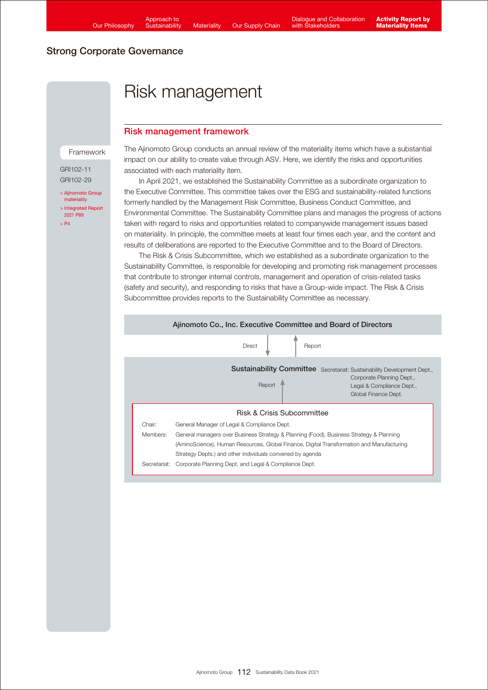# Risk management

## Risk management framework

#### Framework

GRI102-11 GRI102-29

[> Ajinomoto Group](https://www.ajinomoto.com/sustainability/pdf/2020/materiality_en.pdf) materiality [> Integrated Report](https://www.ajinomoto.co.jp/company/en/ir/library/annual/main/08/teaserItems1/00/linkList/0/link/Integrated%20Report%202021_E_A4.pdf#page=90)  2021 P89  $\sim$  P4

The Ajinomoto Group conducts an annual review of the materiality items which have a substantial impact on our ability to create value through ASV. Here, we identify the risks and opportunities associated with each materiality item.

 In April 2021, we established the Sustainability Committee as a subordinate organization to the Executive Committee. This committee takes over the ESG and sustainability-related functions formerly handled by the Management Risk Committee, Business Conduct Committee, and Environmental Committee. The Sustainability Committee plans and manages the progress of actions taken with regard to risks and opportunities related to companywide management issues based on materiality. In principle, the committee meets at least four times each year, and the content and results of deliberations are reported to the Executive Committee and to the Board of Directors.

 The Risk & Crisis Subcommittee, which we established as a subordinate organization to the Sustainability Committee, is responsible for developing and promoting risk management processes that contribute to stronger internal controls, management and operation of crisis-related tasks (safety and security), and responding to risks that have a Group-wide impact. The Risk & Crisis Subcommittee provides reports to the Sustainability Committee as necessary.

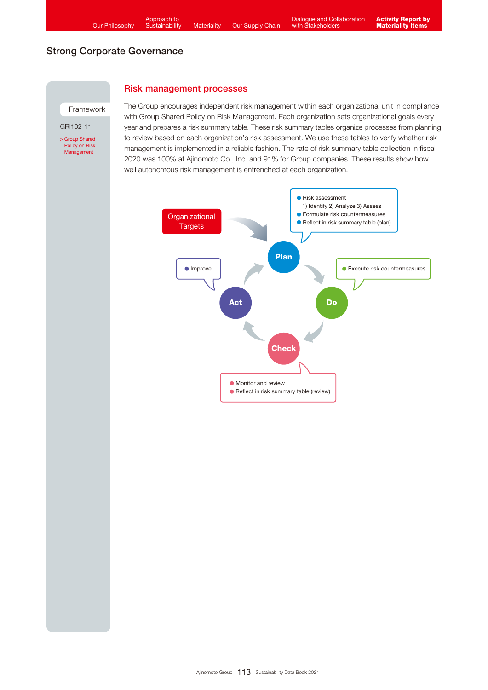## Risk management processes

Framework

GRI102-11

[> Group Shared](https://www.ajinomoto.com/sustainability/agp/risk-management.php) Policy on Risk Management

The Group encourages independent risk management within each organizational unit in compliance with Group Shared Policy on Risk Management. Each organization sets organizational goals every year and prepares a risk summary table. These risk summary tables organize processes from planning to review based on each organization's risk assessment. We use these tables to verify whether risk management is implemented in a reliable fashion. The rate of risk summary table collection in fiscal 2020 was 100% at Ajinomoto Co., Inc. and 91% for Group companies. These results show how well autonomous risk management is entrenched at each organization.

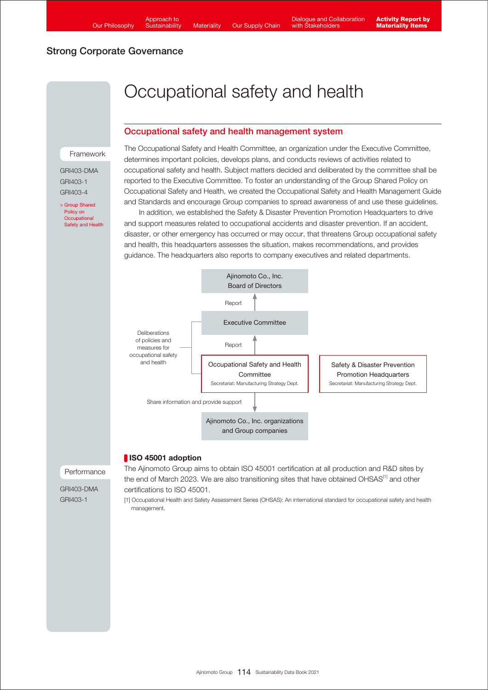# Occupational safety and health

## Occupational safety and health management system

#### Framework

GRI403-DMA GRI403-1 GRI403-4

> Group Shared Policy on **Occupational** [Safety and Health](https://www.ajinomoto.com/sustainability/agp/occupational-safety-and-health.php) The Occupational Safety and Health Committee, an organization under the Executive Committee, determines important policies, develops plans, and conducts reviews of activities related to occupational safety and health. Subject matters decided and deliberated by the committee shall be reported to the Executive Committee. To foster an understanding of the Group Shared Policy on Occupational Safety and Health, we created the Occupational Safety and Health Management Guide and Standards and encourage Group companies to spread awareness of and use these guidelines.

 In addition, we established the Safety & Disaster Prevention Promotion Headquarters to drive and support measures related to occupational accidents and disaster prevention. If an accident, disaster, or other emergency has occurred or may occur, that threatens Group occupational safety and health, this headquarters assesses the situation, makes recommendations, and provides guidance. The headquarters also reports to company executives and related departments.



## ISO 45001 adoption

Performance

The Ajinomoto Group aims to obtain ISO 45001 certification at all production and R&D sites by the end of March 2023. We are also transitioning sites that have obtained OHSAS<sup>[1]</sup> and other certifications to ISO 45001.

[1] Occupational Health and Safety Assessment Series (OHSAS): An international standard for occupational safety and health management.

GRI403-DMA GRI403-1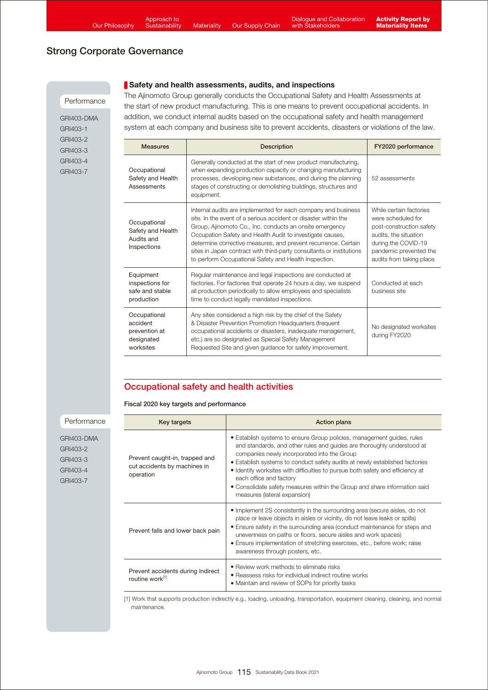#### **Performance**

GRI403-DMA GRI403-1 GRI403-2 GRI403-3 GRI403-4 GRI403-7

Safety and health assessments, audits, and inspections The Ajinomoto Group generally conducts the Occupational Safety and Health Assessments at the start of new product manufacturing. This is one means to prevent occupational accidents. In addition, we conduct internal audits based on the occupational safety and health management system at each company and business site to prevent accidents, disasters or violations of the law.

| <b>Measures</b>                                                      | <b>Description</b>                                                                                                                                                                                                                                                                                                                                                                                                                                          | FY2020 performance                                                                                                                                                               |
|----------------------------------------------------------------------|-------------------------------------------------------------------------------------------------------------------------------------------------------------------------------------------------------------------------------------------------------------------------------------------------------------------------------------------------------------------------------------------------------------------------------------------------------------|----------------------------------------------------------------------------------------------------------------------------------------------------------------------------------|
| Occupational<br>Safety and Health<br>Assessments                     | Generally conducted at the start of new product manufacturing,<br>when expanding production capacity or changing manufacturing<br>processes, developing new substances, and during the planning<br>stages of constructing or demolishing buildings, structures and<br>equipment.                                                                                                                                                                            | 52 assessments                                                                                                                                                                   |
| Occupational<br>Safety and Health<br>Audits and<br>Inspections       | Internal audits are implemented for each company and business<br>site. In the event of a serious accident or disaster within the<br>Group, Ajinomoto Co., Inc. conducts an onsite emergency<br>Occupation Safety and Health Audit to investigate causes,<br>determine corrective measures, and prevent recurrence. Certain<br>sites in Japan contract with third-party consultants or institutions<br>to perform Occupational Safety and Health Inspection. | While certain factories<br>were scheduled for<br>post-construction safety<br>audits, the situation<br>during the COVID-19<br>pandemic prevented the<br>audits from taking place. |
| Equipment<br>inspections for<br>safe and stable<br>production        | Regular maintenance and legal inspections are conducted at<br>factories. For factories that operate 24 hours a day, we suspend<br>all production periodically to allow employees and specialists<br>time to conduct legally mandated inspections.                                                                                                                                                                                                           | Conducted at each<br>business site                                                                                                                                               |
| Occupational<br>accident<br>prevention at<br>designated<br>worksites | Any sites considered a high risk by the chief of the Safety<br>& Disaster Prevention Promotion Headquarters (frequent<br>occupational accidents or disasters, inadequate management,<br>etc.) are so designated as Special Safety Management<br>Requested Site and given quidance for safety improvement.                                                                                                                                                   | No designated worksites<br>during FY2020                                                                                                                                         |

## Occupational safety and health activities

#### Fiscal 2020 key targets and performance

Key targets **Action plans** Prevent caught-in, trapped and cut accidents by machines in operation • Establish systems to ensure Group policies, management guides, rules and standards, and other rules and guides are thoroughly understood at companies newly incorporated into the Group • Establish systems to conduct safety audits at newly established factories • Identify worksites with difficulties to pursue both safety and efficiency at each office and factory • Consolidate safety measures within the Group and share information said measures (lateral expansion) Prevent falls and lower back pain • Implement 2S consistently in the surrounding area (secure aisles, do not place or leave objects in aisles or vicinity, do not leave leaks or spills) • Ensure safety in the surrounding area (conduct maintenance for steps and unevenness on paths or floors, secure aisles and work spaces) • Ensure implementation of stretching exercises, etc., before work; raise awareness through posters, etc. Prevent accidents during indirect routine work[1] • Review work methods to eliminate risks • Reassess risks for individual indirect routine works • Maintain and review of SOPs for priority tasks

[1] Work that supports production indirectly e.g., loading, unloading, transportation, equipment cleaning, cleaning, and normal maintenance.

GRI403-DMA GRI403-2 GRI403-3 GRI403-4 GRI403-7

Performance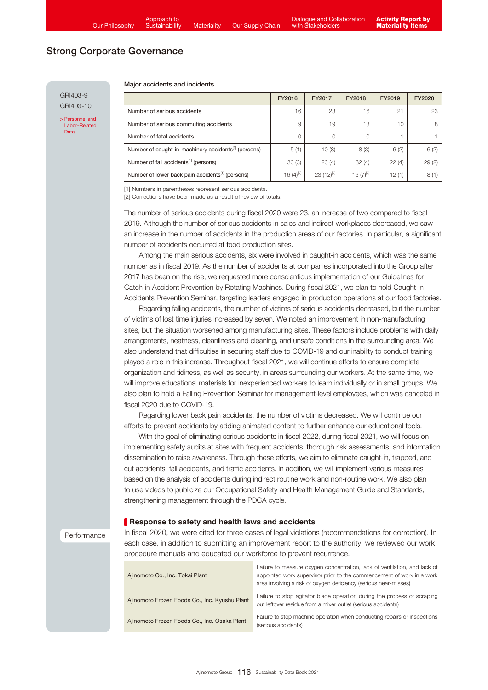GRI403-9 GRI403-10

> Personnel and [Labor-Related](https://www.ajinomoto.co.jp/company/en/ir/library/databook/main/08/teaserItems1/0/linkList/01/link/SDB2021_appendix_jinji_en.pdf)  Data

#### Major accidents and incidents

|                                                                  | FY2016         | FY2017         | FY2018         | FY2019 | FY2020 |
|------------------------------------------------------------------|----------------|----------------|----------------|--------|--------|
| Number of serious accidents                                      | 16             | 23             | 16             | 21     | 23     |
| Number of serious commuting accidents                            | 9              | 19             | 13             | 10     | 8      |
| Number of fatal accidents                                        | 0              | 0              | $\Omega$       |        |        |
| Number of caught-in-machinery accidents <sup>[1]</sup> (persons) | 5(1)           | 10(8)          | 8(3)           | 6(2)   | 6(2)   |
| Number of fall accidents <sup>[1]</sup> (persons)                | 30(3)          | 23(4)          | 32(4)          | 22(4)  | 29(2)  |
| Number of lower back pain accidents <sup>[1]</sup> (persons)     | 16 $(4)^{[2]}$ | $23(12)^{[2]}$ | 16 $(7)^{[2]}$ | 12(1)  | 8(1)   |

[1] Numbers in parentheses represent serious accidents.

[2] Corrections have been made as a result of review of totals.

The number of serious accidents during fiscal 2020 were 23, an increase of two compared to fiscal 2019. Although the number of serious accidents in sales and indirect workplaces decreased, we saw an increase in the number of accidents in the production areas of our factories. In particular, a significant number of accidents occurred at food production sites.

 Among the main serious accidents, six were involved in caught-in accidents, which was the same number as in fiscal 2019. As the number of accidents at companies incorporated into the Group after 2017 has been on the rise, we requested more conscientious implementation of our Guidelines for Catch-in Accident Prevention by Rotating Machines. During fiscal 2021, we plan to hold Caught-in Accidents Prevention Seminar, targeting leaders engaged in production operations at our food factories.

 Regarding falling accidents, the number of victims of serious accidents decreased, but the number of victims of lost time injuries increased by seven. We noted an improvement in non-manufacturing sites, but the situation worsened among manufacturing sites. These factors include problems with daily arrangements, neatness, cleanliness and cleaning, and unsafe conditions in the surrounding area. We also understand that difficulties in securing staff due to COVID-19 and our inability to conduct training played a role in this increase. Throughout fiscal 2021, we will continue efforts to ensure complete organization and tidiness, as well as security, in areas surrounding our workers. At the same time, we will improve educational materials for inexperienced workers to learn individually or in small groups. We also plan to hold a Falling Prevention Seminar for management-level employees, which was canceled in fiscal 2020 due to COVID-19.

 Regarding lower back pain accidents, the number of victims decreased. We will continue our efforts to prevent accidents by adding animated content to further enhance our educational tools.

 With the goal of eliminating serious accidents in fiscal 2022, during fiscal 2021, we will focus on implementing safety audits at sites with frequent accidents, thorough risk assessments, and information dissemination to raise awareness. Through these efforts, we aim to eliminate caught-in, trapped, and cut accidents, fall accidents, and traffic accidents. In addition, we will implement various measures based on the analysis of accidents during indirect routine work and non-routine work. We also plan to use videos to publicize our Occupational Safety and Health Management Guide and Standards, strengthening management through the PDCA cycle.

#### Response to safety and health laws and accidents

**Performance** 

In fiscal 2020, we were cited for three cases of legal violations (recommendations for correction). In each case, in addition to submitting an improvement report to the authority, we reviewed our work procedure manuals and educated our workforce to prevent recurrence.

| Ajinomoto Co., Inc. Tokai Plant               | Failure to measure oxygen concentration, lack of ventilation, and lack of<br>appointed work supervisor prior to the commencement of work in a work<br>area involving a risk of oxygen deficiency (serious near-misses) |
|-----------------------------------------------|------------------------------------------------------------------------------------------------------------------------------------------------------------------------------------------------------------------------|
| Ajinomoto Frozen Foods Co., Inc. Kyushu Plant | Failure to stop agitator blade operation during the process of scraping<br>out leftover residue from a mixer outlet (serious accidents)                                                                                |
| Ajinomoto Frozen Foods Co., Inc. Osaka Plant  | Failure to stop machine operation when conducting repairs or inspections<br>(serious accidents)                                                                                                                        |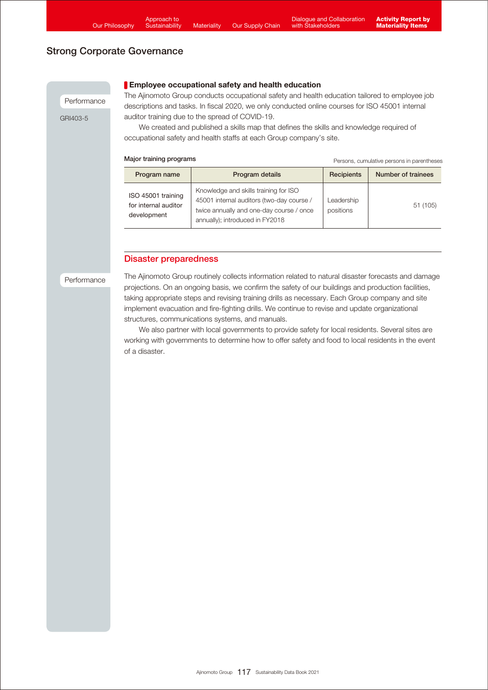Performance

GRI403-5

## **Employee occupational safety and health education**

The Ajinomoto Group conducts occupational safety and health education tailored to employee job descriptions and tasks. In fiscal 2020, we only conducted online courses for ISO 45001 internal auditor training due to the spread of COVID-19.

 We created and published a skills map that defines the skills and knowledge required of occupational safety and health staffs at each Group company's site.

| Major training programs |  |  |  |
|-------------------------|--|--|--|
|-------------------------|--|--|--|

Persons, cumulative persons in parentheses

| Program name                                              | Program details                                                                                                                                                   | Recipients              | Number of trainees |
|-----------------------------------------------------------|-------------------------------------------------------------------------------------------------------------------------------------------------------------------|-------------------------|--------------------|
| ISO 45001 training<br>for internal auditor<br>development | Knowledge and skills training for ISO<br>45001 internal auditors (two-day course /<br>twice annually and one-day course / once<br>annually); introduced in FY2018 | Leadership<br>positions | 51 (105)           |

## Disaster preparedness

**Performance** 

The Ajinomoto Group routinely collects information related to natural disaster forecasts and damage projections. On an ongoing basis, we confirm the safety of our buildings and production facilities, taking appropriate steps and revising training drills as necessary. Each Group company and site implement evacuation and fire-fighting drills. We continue to revise and update organizational structures, communications systems, and manuals.

 We also partner with local governments to provide safety for local residents. Several sites are working with governments to determine how to offer safety and food to local residents in the event of a disaster.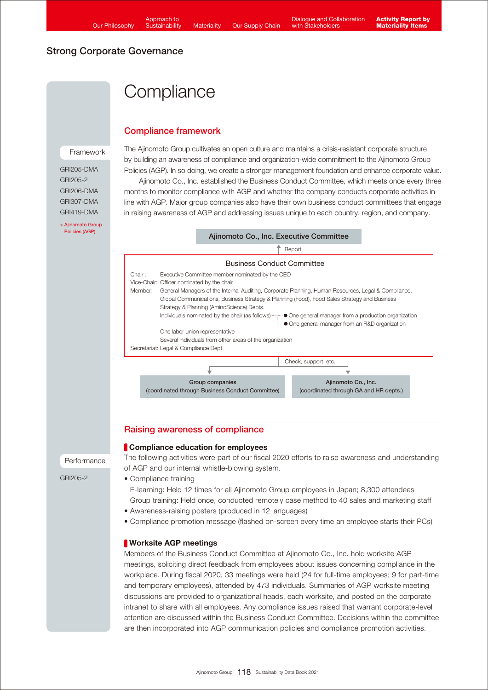# **Compliance**

## Compliance framework

Framework

GRI205-DMA GRI205-2 GRI206-DMA GRI307-DMA GRI419-DMA

[> Ajinomoto Group](https://www.ajinomoto.com/sustainability/agp/) Policies (AGP)

The Ajinomoto Group cultivates an open culture and maintains a crisis-resistant corporate structure by building an awareness of compliance and organization-wide commitment to the Ajinomoto Group Policies (AGP). In so doing, we create a stronger management foundation and enhance corporate value.

 Ajinomoto Co., Inc. established the Business Conduct Committee, which meets once every three months to monitor compliance with AGP and whether the company conducts corporate activities in line with AGP. Major group companies also have their own business conduct committees that engage in raising awareness of AGP and addressing issues unique to each country, region, and company.

#### Business Conduct Committee Ajinomoto Co., Inc. Executive Committee Report Check, support, etc. Group companies (coordinated through Business Conduct Committee) Ajinomoto Co., Inc. (coordinated through GA and HR depts.) Executive Committee member nominated by the CEO Vice-Chair: Officer nominated by the chair Member: General Managers of the Internal Auditing, Corporate Planning, Human Resources, Legal & Compliance, Global Communications, Business Strategy & Planning (Food), Food Sales Strategy and Business Strategy & Planning (AminoScience) Depts. Individuals nominated by the chair (as follows) **••••••••••••••** One general manager from a production organization **EXALLED** One general manager from an R&D organization One labor union representative Several individuals from other areas of the organization Secretariat: Legal & Compliance Dept. Chair :

## Raising awareness of compliance

### **Compliance education for employees**

The following activities were part of our fiscal 2020 efforts to raise awareness and understanding of AGP and our internal whistle-blowing system.

• Compliance training

E-learning: Held 12 times for all Ajinomoto Group employees in Japan; 8,300 attendees Group training: Held once, conducted remotely case method to 40 sales and marketing staff

- Awareness-raising posters (produced in 12 languages)
- Compliance promotion message (flashed on-screen every time an employee starts their PCs)

## Worksite AGP meetings

Members of the Business Conduct Committee at Ajinomoto Co., Inc. hold worksite AGP meetings, soliciting direct feedback from employees about issues concerning compliance in the workplace. During fiscal 2020, 33 meetings were held (24 for full-time employees; 9 for part-time and temporary employees), attended by 473 individuals. Summaries of AGP worksite meeting discussions are provided to organizational heads, each worksite, and posted on the corporate intranet to share with all employees. Any compliance issues raised that warrant corporate-level attention are discussed within the Business Conduct Committee. Decisions within the committee are then incorporated into AGP communication policies and compliance promotion activities.

Performance

GRI205-2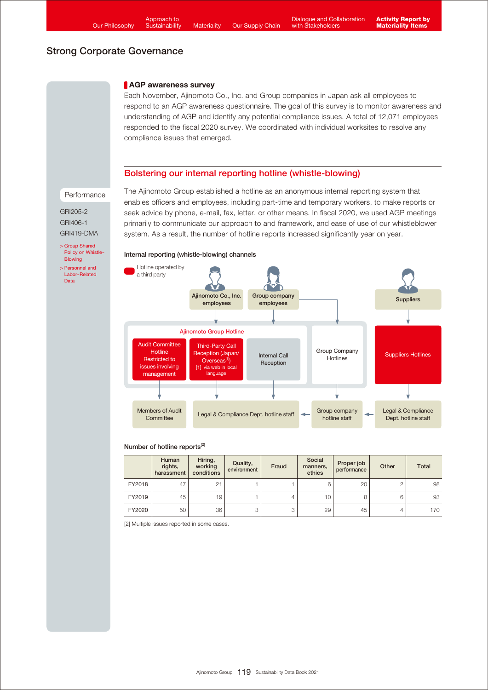#### **AGP** awareness survey

Each November, Ajinomoto Co., Inc. and Group companies in Japan ask all employees to respond to an AGP awareness questionnaire. The goal of this survey is to monitor awareness and understanding of AGP and identify any potential compliance issues. A total of 12,071 employees responded to the fiscal 2020 survey. We coordinated with individual worksites to resolve any compliance issues that emerged.

### Bolstering our internal reporting hotline (whistle-blowing)

#### Performance

GRI205-2 GRI406-1 GRI419-DMA

> Group Shared [Policy on Whistle-](https://www.ajinomoto.com/sustainability/agp/whistle-blowing.php)**Blowing** > Personnel and [Labor-Related](https://www.ajinomoto.co.jp/company/en/ir/library/databook/main/08/teaserItems1/0/linkList/01/link/SDB2021_appendix_jinji_en.pdf)  Data

The Ajinomoto Group established a hotline as an anonymous internal reporting system that enables officers and employees, including part-time and temporary workers, to make reports or seek advice by phone, e-mail, fax, letter, or other means. In fiscal 2020, we used AGP meetings primarily to communicate our approach to and framework, and ease of use of our whistleblower system. As a result, the number of hotline reports increased significantly year on year.

#### Internal reporting (whistle-blowing) channels



#### Number of hotline reports<sup>[2]</sup>

|        | Human<br>rights,<br>harassment | Hiring,<br>working<br>conditions | Quality,<br>environment | Fraud | Social<br>manners,<br>ethics | Proper job<br>performance | Other | <b>Total</b> |
|--------|--------------------------------|----------------------------------|-------------------------|-------|------------------------------|---------------------------|-------|--------------|
| FY2018 | 47                             | 21                               |                         |       | 6                            | 20                        |       | 98           |
| FY2019 | 45                             | 19                               |                         | 4     | 10                           | 8                         | 6     | 93           |
| FY2020 | 50                             | 36                               | 3                       | 3     | 29                           | 45                        |       | 170          |

[2] Multiple issues reported in some cases.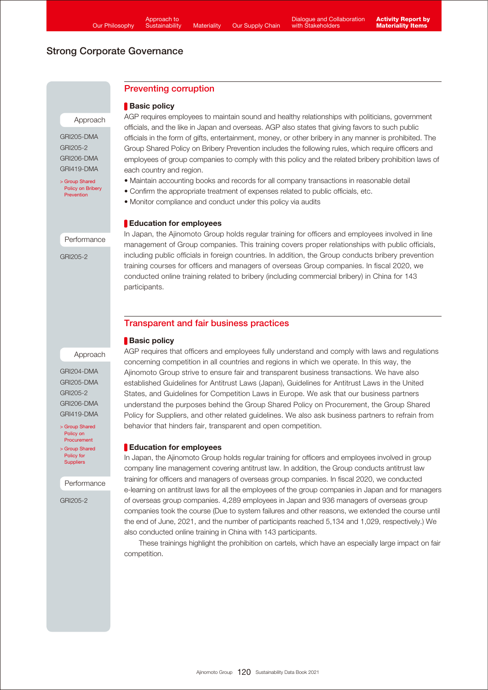## Preventing corruption

### Basic policy

AGP requires employees to maintain sound and healthy relationships with politicians, government officials, and the like in Japan and overseas. AGP also states that giving favors to such public officials in the form of gifts, entertainment, money, or other bribery in any manner is prohibited. The Group Shared Policy on Bribery Prevention includes the following rules, which require officers and employees of group companies to comply with this policy and the related bribery prohibition laws of each country and region.

- Maintain accounting books and records for all company transactions in reasonable detail
- Confirm the appropriate treatment of expenses related to public officials, etc.
- Monitor compliance and conduct under this policy via audits

### **Education for employees**

In Japan, the Ajinomoto Group holds regular training for officers and employees involved in line management of Group companies. This training covers proper relationships with public officials, including public officials in foreign countries. In addition, the Group conducts bribery prevention training courses for officers and managers of overseas Group companies. In fiscal 2020, we conducted online training related to bribery (including commercial bribery) in China for 143 participants.

## Transparent and fair business practices

behavior that hinders fair, transparent and open competition.

### Basic policy

### Approach

GRI204-DMA

[> Group Shared](https://www.ajinomoto.com/sustainability/agp/procurement.php) Policy on Procurement

[> Group Shared](https://www.ajinomoto.com/sustainability/agp/suppliers.php) Policy for **Suppliers** 

Performance

GRI205-2

AGP requires that officers and employees fully understand and comply with laws and regulations concerning competition in all countries and regions in which we operate. In this way, the Ajinomoto Group strive to ensure fair and transparent business transactions. We have also established Guidelines for Antitrust Laws (Japan), Guidelines for Antitrust Laws in the United States, and Guidelines for Competition Laws in Europe. We ask that our business partners understand the purposes behind the Group Shared Policy on Procurement, the Group Shared Policy for Suppliers, and other related guidelines. We also ask business partners to refrain from

## **Education for employees**

In Japan, the Ajinomoto Group holds regular training for officers and employees involved in group company line management covering antitrust law. In addition, the Group conducts antitrust law training for officers and managers of overseas group companies. In fiscal 2020, we conducted e-learning on antitrust laws for all the employees of the group companies in Japan and for managers of overseas group companies. 4,289 employees in Japan and 936 managers of overseas group companies took the course (Due to system failures and other reasons, we extended the course until the end of June, 2021, and the number of participants reached 5,134 and 1,029, respectively.) We also conducted online training in China with 143 participants.

 These trainings highlight the prohibition on cartels, which have an especially large impact on fair competition.

GRI205-DMA GRI205-2 GRI206-DMA GRI419-DMA

Approach

> Group Shared [Policy on Bribery](https://www.ajinomoto.com/sustainability/agp/bribery-prevention.php) Prevention

Performance

GRI205-2

GRI205-DMA GRI205-2 GRI206-DMA GRI419-DMA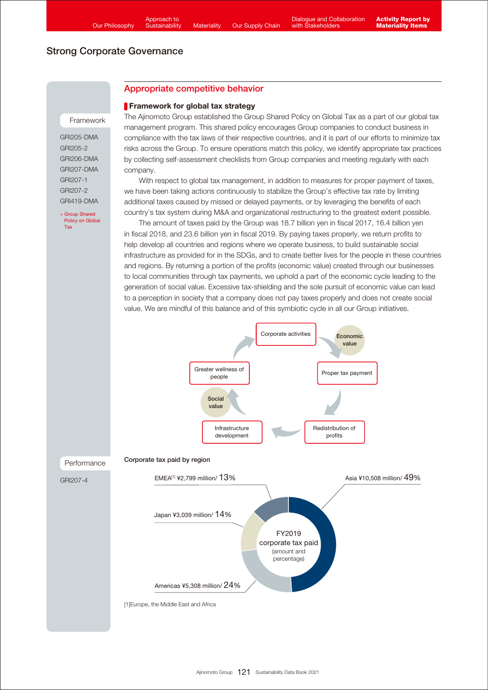## Appropriate competitive behavior

#### **Framework for global tax strategy**

The Ajinomoto Group established the Group Shared Policy on Global Tax as a part of our global tax management program. This shared policy encourages Group companies to conduct business in compliance with the tax laws of their respective countries, and it is part of our efforts to minimize tax risks across the Group. To ensure operations match this policy, we identify appropriate tax practices by collecting self-assessment checklists from Group companies and meeting regularly with each company.

 With respect to global tax management, in addition to measures for proper payment of taxes, we have been taking actions continuously to stabilize the Group's effective tax rate by limiting additional taxes caused by missed or delayed payments, or by leveraging the benefits of each country's tax system during M&A and organizational restructuring to the greatest extent possible.

 The amount of taxes paid by the Group was 18.7 billion yen in fiscal 2017, 16.4 billion yen in fiscal 2018, and 23.6 billion yen in fiscal 2019. By paying taxes properly, we return profits to help develop all countries and regions where we operate business, to build sustainable social infrastructure as provided for in the SDGs, and to create better lives for the people in these countries and regions. By returning a portion of the profits (economic value) created through our businesses to local communities through tax payments, we uphold a part of the economic cycle leading to the generation of social value. Excessive tax-shielding and the sole pursuit of economic value can lead to a perception in society that a company does not pay taxes properly and does not create social value. We are mindful of this balance and of this symbiotic cycle in all our Group initiatives.



GRI205-DMA GRI205-2 GRI206-DMA GRI207-DMA GRI207-1 GRI207-2 GRI419-DMA

Framework

[> Group Shared](https://www.ajinomoto.com/sustainability/agp/global-tax.php)  Policy on Global Tax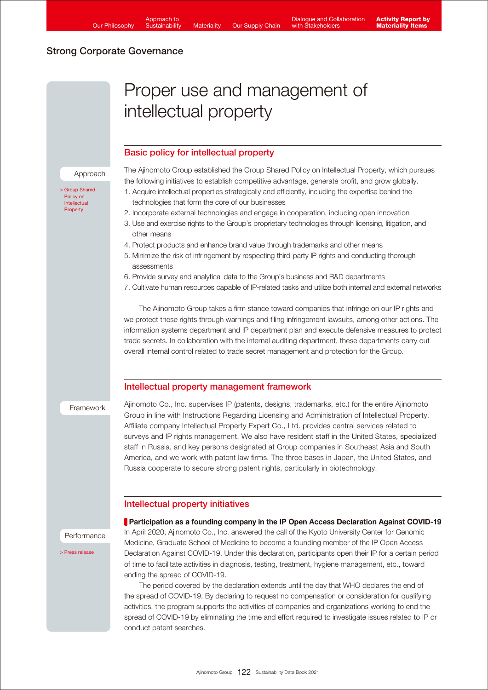# Proper use and management of intellectual property

## Basic policy for intellectual property

The Ajinomoto Group established the Group Shared Policy on Intellectual Property, which pursues the following initiatives to establish competitive advantage, generate profit, and grow globally.

- 1. Acquire intellectual properties strategically and efficiently, including the expertise behind the technologies that form the core of our businesses
- 2. Incorporate external technologies and engage in cooperation, including open innovation
- 3. Use and exercise rights to the Group's proprietary technologies through licensing, litigation, and other means
- 4. Protect products and enhance brand value through trademarks and other means
- 5. Minimize the risk of infringement by respecting third-party IP rights and conducting thorough assessments
- 6. Provide survey and analytical data to the Group's business and R&D departments
- 7. Cultivate human resources capable of IP-related tasks and utilize both internal and external networks

 The Ajinomoto Group takes a firm stance toward companies that infringe on our IP rights and we protect these rights through warnings and filing infringement lawsuits, among other actions. The information systems department and IP department plan and execute defensive measures to protect trade secrets. In collaboration with the internal auditing department, these departments carry out overall internal control related to trade secret management and protection for the Group.

#### Intellectual property management framework

Framework

Ajinomoto Co., Inc. supervises IP (patents, designs, trademarks, etc.) for the entire Ajinomoto Group in line with Instructions Regarding Licensing and Administration of Intellectual Property. Affiliate company Intellectual Property Expert Co., Ltd. provides central services related to surveys and IP rights management. We also have resident staff in the United States, specialized staff in Russia, and key persons designated at Group companies in Southeast Asia and South America, and we work with patent law firms. The three bases in Japan, the United States, and Russia cooperate to secure strong patent rights, particularly in biotechnology.

### Intellectual property initiatives

Performance

[> Press release](https://www.ajinomoto.com/cms_wp_ajnmt_global/wp-content/uploads/pdf/52a8d8236823a7a8fbc4e53b56e38806.pdf)

**Participation as a founding company in the IP Open Access Declaration Against COVID-19** In April 2020, Ajinomoto Co., Inc. answered the call of the Kyoto University Center for Genomic Medicine, Graduate School of Medicine to become a founding member of the IP Open Access Declaration Against COVID-19. Under this declaration, participants open their IP for a certain period of time to facilitate activities in diagnosis, testing, treatment, hygiene management, etc., toward ending the spread of COVID-19.

 The period covered by the declaration extends until the day that WHO declares the end of the spread of COVID-19. By declaring to request no compensation or consideration for qualifying activities, the program supports the activities of companies and organizations working to end the spread of COVID-19 by eliminating the time and effort required to investigate issues related to IP or conduct patent searches.

Approach

[> Group Shared](https://www.ajinomoto.com/sustainability/agp/intellectual-property.php)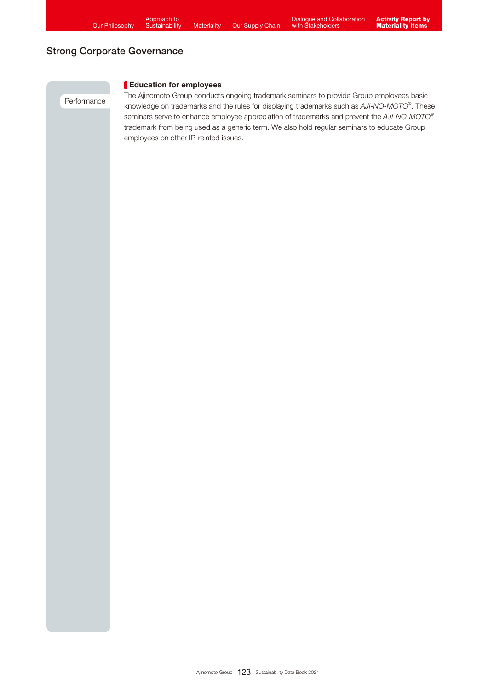Performance

## Education for employees

The Ajinomoto Group conducts ongoing trademark seminars to provide Group employees basic knowledge on trademarks and the rules for displaying trademarks such as *AJI-NO-MOTO®* . These seminars serve to enhance employee appreciation of trademarks and prevent the *AJI-NO-MOTO®* trademark from being used as a generic term. We also hold regular seminars to educate Group employees on other IP-related issues.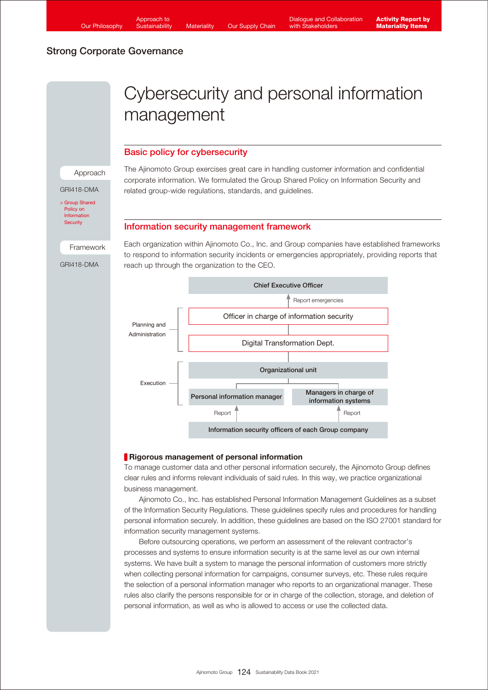# Cybersecurity and personal information management

## Basic policy for cybersecurity

The Ajinomoto Group exercises great care in handling customer information and confidential corporate information. We formulated the Group Shared Policy on Information Security and related group-wide regulations, standards, and guidelines.

### Information security management framework

Framework

Approach

GRI418-DMA

[> Group Shared](https://www.ajinomoto.com/sustainability/agp/information-security.php) Policy on Information **Security** 

GRI418-DMA

Each organization within Ajinomoto Co., Inc. and Group companies have established frameworks to respond to information security incidents or emergencies appropriately, providing reports that reach up through the organization to the CEO.



### **Rigorous management of personal information**

To manage customer data and other personal information securely, the Ajinomoto Group defines clear rules and informs relevant individuals of said rules. In this way, we practice organizational business management.

 Ajinomoto Co., Inc. has established Personal Information Management Guidelines as a subset of the Information Security Regulations. These guidelines specify rules and procedures for handling personal information securely. In addition, these guidelines are based on the ISO 27001 standard for information security management systems.

 Before outsourcing operations, we perform an assessment of the relevant contractor's processes and systems to ensure information security is at the same level as our own internal systems. We have built a system to manage the personal information of customers more strictly when collecting personal information for campaigns, consumer surveys, etc. These rules require the selection of a personal information manager who reports to an organizational manager. These rules also clarify the persons responsible for or in charge of the collection, storage, and deletion of personal information, as well as who is allowed to access or use the collected data.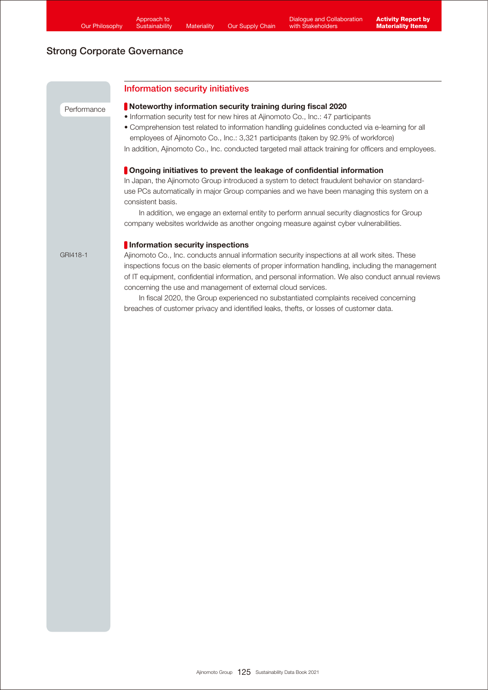# Information security initiatives Performance GRI418-1 Noteworthy information security training during fiscal 2020 • Information security test for new hires at Ajinomoto Co., Inc.: 47 participants • Comprehension test related to information handling guidelines conducted via e-learning for all employees of Ajinomoto Co., Inc.: 3,321 participants (taken by 92.9% of workforce) In addition, Ajinomoto Co., Inc. conducted targeted mail attack training for officers and employees. **Ongoing initiatives to prevent the leakage of confidential information** In Japan, the Ajinomoto Group introduced a system to detect fraudulent behavior on standarduse PCs automatically in major Group companies and we have been managing this system on a consistent basis. In addition, we engage an external entity to perform annual security diagnostics for Group company websites worldwide as another ongoing measure against cyber vulnerabilities. **Information security inspections** Ajinomoto Co., Inc. conducts annual information security inspections at all work sites. These inspections focus on the basic elements of proper information handling, including the management of IT equipment, confidential information, and personal information. We also conduct annual reviews concerning the use and management of external cloud services. In fiscal 2020, the Group experienced no substantiated complaints received concerning breaches of customer privacy and identified leaks, thefts, or losses of customer data.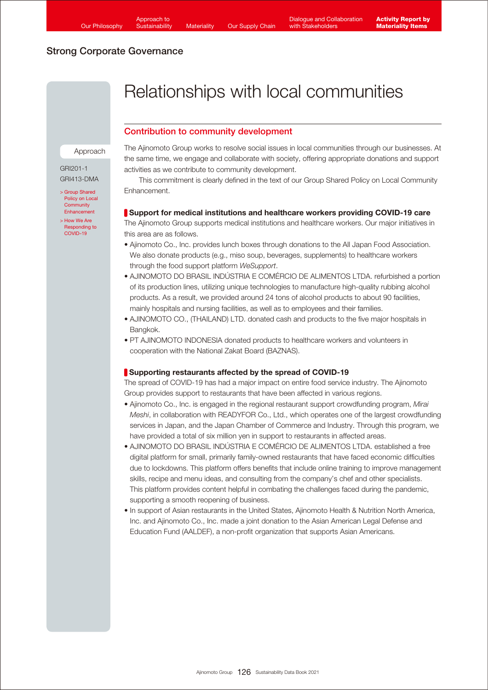# Relationships with local communities

## Contribution to community development

#### Approach

GRI201-1 GRI413-DMA

- [> Group Shared](https://www.ajinomoto.com/sustainability/agp/local-community-enhancement.php)  Policy on Local **Community Enhancement**
- [> How We Are](https://www.ajinomoto.com/media/covid-19)  ponding to COVID-19

The Ajinomoto Group works to resolve social issues in local communities through our businesses. At the same time, we engage and collaborate with society, offering appropriate donations and support activities as we contribute to community development.

 This commitment is clearly defined in the text of our Group Shared Policy on Local Community Enhancement.

### Support for medical institutions and healthcare workers providing COVID-19 care

The Ajinomoto Group supports medical institutions and healthcare workers. Our major initiatives in this area are as follows.

- Ajinomoto Co., Inc. provides lunch boxes through donations to the All Japan Food Association. We also donate products (e.g., miso soup, beverages, supplements) to healthcare workers through the food support platform *WeSupport*.
- AJINOMOTO DO BRASIL INDÚSTRIA E COMÉRCIO DE ALIMENTOS LTDA. refurbished a portion of its production lines, utilizing unique technologies to manufacture high-quality rubbing alcohol products. As a result, we provided around 24 tons of alcohol products to about 90 facilities, mainly hospitals and nursing facilities, as well as to employees and their families.
- AJINOMOTO CO., (THAILAND) LTD. donated cash and products to the five major hospitals in Bangkok.
- PT AJINOMOTO INDONESIA donated products to healthcare workers and volunteers in cooperation with the National Zakat Board (BAZNAS).

## Supporting restaurants affected by the spread of COVID-19

The spread of COVID-19 has had a major impact on entire food service industry. The Ajinomoto Group provides support to restaurants that have been affected in various regions.

- Ajinomoto Co., Inc. is engaged in the regional restaurant support crowdfunding program, *Mirai Meshi*, in collaboration with READYFOR Co., Ltd., which operates one of the largest crowdfunding services in Japan, and the Japan Chamber of Commerce and Industry. Through this program, we have provided a total of six million yen in support to restaurants in affected areas.
- AJINOMOTO DO BRASIL INDÚSTRIA E COMÉRCIO DE ALIMENTOS LTDA. established a free digital platform for small, primarily family-owned restaurants that have faced economic difficulties due to lockdowns. This platform offers benefits that include online training to improve management skills, recipe and menu ideas, and consulting from the company's chef and other specialists. This platform provides content helpful in combating the challenges faced during the pandemic, supporting a smooth reopening of business.
- In support of Asian restaurants in the United States, Ajinomoto Health & Nutrition North America, Inc. and Ajinomoto Co., Inc. made a joint donation to the Asian American Legal Defense and Education Fund (AALDEF), a non-profit organization that supports Asian Americans.